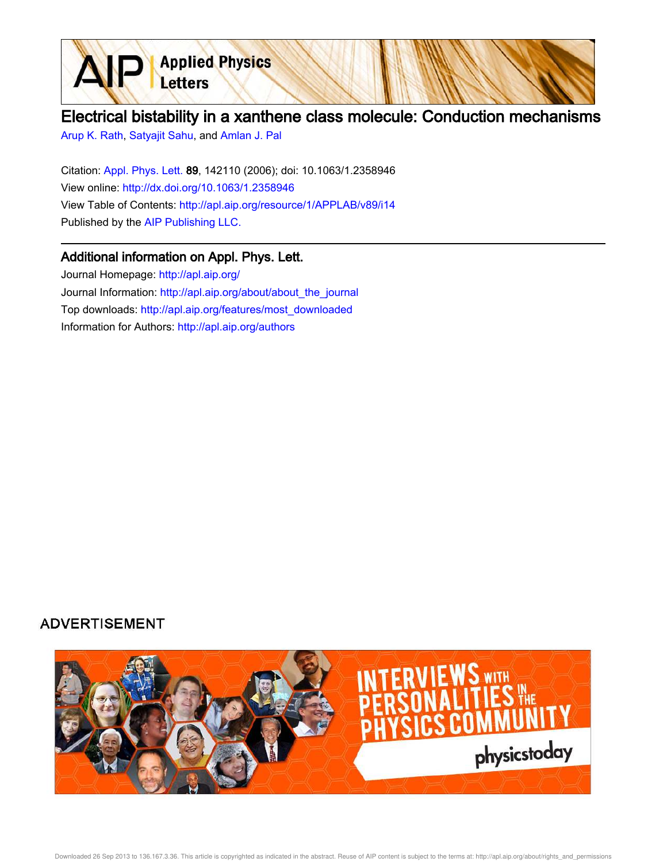

# Electrical bistability in a xanthene class molecule: Conduction mechanisms

Arup K. Rath, Satyajit Sahu, and Amlan J. Pal

Citation: Appl. Phys. Lett. 89, 142110 (2006); doi: 10.1063/1.2358946 View online: http://dx.doi.org/10.1063/1.2358946 View Table of Contents: http://apl.aip.org/resource/1/APPLAB/v89/i14 Published by the AIP Publishing LLC.

## Additional information on Appl. Phys. Lett.

Journal Homepage: http://apl.aip.org/ Journal Information: http://apl.aip.org/about/about\_the\_journal Top downloads: http://apl.aip.org/features/most\_downloaded Information for Authors: http://apl.aip.org/authors

# **ADVERTISEMENT**

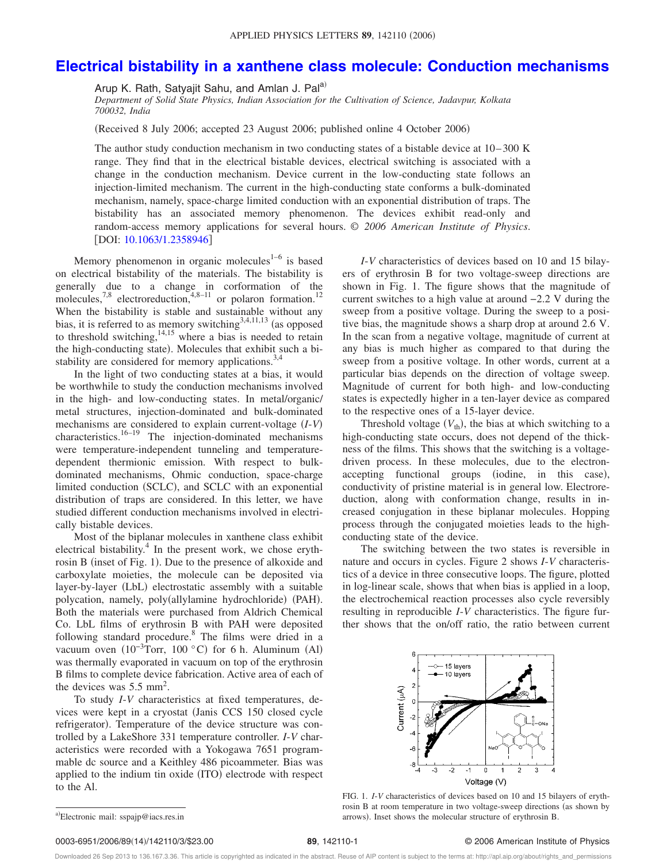### **Electrical bistability in a xanthene class molecule: Conduction mechanisms**

Arup K. Rath, Satyajit Sahu, and Amlan J. Pal<sup>a)</sup>

*Department of Solid State Physics, Indian Association for the Cultivation of Science, Jadavpur, Kolkata 700032, India*

Received 8 July 2006; accepted 23 August 2006; published online 4 October 2006-

The author study conduction mechanism in two conducting states of a bistable device at 10– 300 K range. They find that in the electrical bistable devices, electrical switching is associated with a change in the conduction mechanism. Device current in the low-conducting state follows an injection-limited mechanism. The current in the high-conducting state conforms a bulk-dominated mechanism, namely, space-charge limited conduction with an exponential distribution of traps. The bistability has an associated memory phenomenon. The devices exhibit read-only and random-access memory applications for several hours. © *2006 American Institute of Physics*. [DOI: 10.1063/1.2358946]

Memory phenomenon in organic molecules $1-6$  is based on electrical bistability of the materials. The bistability is generally due to a change in corformation of the molecules,<sup>7,8</sup> electroreduction,<sup>4,8-11</sup> or polaron formation.<sup>12</sup> When the bistability is stable and sustainable without any bias, it is referred to as memory switching<sup>3,4,11,13</sup> (as opposed to threshold switching,  $\frac{14,15}{14,15}$  where a bias is needed to retain the high-conducting state). Molecules that exhibit such a bistability are considered for memory applications.<sup>3,4</sup>

In the light of two conducting states at a bias, it would be worthwhile to study the conduction mechanisms involved in the high- and low-conducting states. In metal/organic/ metal structures, injection-dominated and bulk-dominated mechanisms are considered to explain current-voltage *I*-*V* characteristics.16–19 The injection-dominated mechanisms were temperature-independent tunneling and temperaturedependent thermionic emission. With respect to bulkdominated mechanisms, Ohmic conduction, space-charge limited conduction (SCLC), and SCLC with an exponential distribution of traps are considered. In this letter, we have studied different conduction mechanisms involved in electrically bistable devices.

Most of the biplanar molecules in xanthene class exhibit electrical bistability.<sup>4</sup> In the present work, we chose erythrosin B (inset of Fig. 1). Due to the presence of alkoxide and carboxylate moieties, the molecule can be deposited via layer-by-layer (LbL) electrostatic assembly with a suitable polycation, namely, poly(allylamine hydrochloride) (PAH). Both the materials were purchased from Aldrich Chemical Co. LbL films of erythrosin B with PAH were deposited following standard procedure.<sup>8</sup> The films were dried in a vacuum oven  $(10^{-3}$ Torr, 100 °C) for 6 h. Aluminum (Al) was thermally evaporated in vacuum on top of the erythrosin B films to complete device fabrication. Active area of each of the devices was  $5.5 \text{ mm}^2$ .

To study *I*-*V* characteristics at fixed temperatures, devices were kept in a cryostat Janis CCS 150 closed cycle refrigerator). Temperature of the device structure was controlled by a LakeShore 331 temperature controller. *I*-*V* characteristics were recorded with a Yokogawa 7651 programmable dc source and a Keithley 486 picoammeter. Bias was applied to the indium tin oxide (ITO) electrode with respect to the Al.

*I*-*V* characteristics of devices based on 10 and 15 bilayers of erythrosin B for two voltage-sweep directions are shown in Fig. 1. The figure shows that the magnitude of current switches to a high value at around −2.2 V during the sweep from a positive voltage. During the sweep to a positive bias, the magnitude shows a sharp drop at around 2.6 V. In the scan from a negative voltage, magnitude of current at any bias is much higher as compared to that during the sweep from a positive voltage. In other words, current at a particular bias depends on the direction of voltage sweep. Magnitude of current for both high- and low-conducting states is expectedly higher in a ten-layer device as compared to the respective ones of a 15-layer device.

Threshold voltage  $(V_{th})$ , the bias at which switching to a high-conducting state occurs, does not depend of the thickness of the films. This shows that the switching is a voltagedriven process. In these molecules, due to the electronaccepting functional groups (iodine, in this case), conductivity of pristine material is in general low. Electroreduction, along with conformation change, results in increased conjugation in these biplanar molecules. Hopping process through the conjugated moieties leads to the highconducting state of the device.

The switching between the two states is reversible in nature and occurs in cycles. Figure 2 shows *I*-*V* characteristics of a device in three consecutive loops. The figure, plotted in log-linear scale, shows that when bias is applied in a loop, the electrochemical reaction processes also cycle reversibly resulting in reproducible *I*-*V* characteristics. The figure further shows that the on/off ratio, the ratio between current



FIG. 1. *I*-*V* characteristics of devices based on 10 and 15 bilayers of erythrosin B at room temperature in two voltage-sweep directions (as shown by arrows). Inset shows the molecular structure of erythrosin B.

#### **89**, 142110-1 © 2006 American Institute of Physics

Downloaded 26 Sep 2013 to 136.167.3.36. This article is copyrighted as indicated in the abstract. Reuse of AIP content is subject to the terms at: http://apl.aip.org/about/rights\_and\_permissions

a)Electronic mail: sspajp@iacs.res.in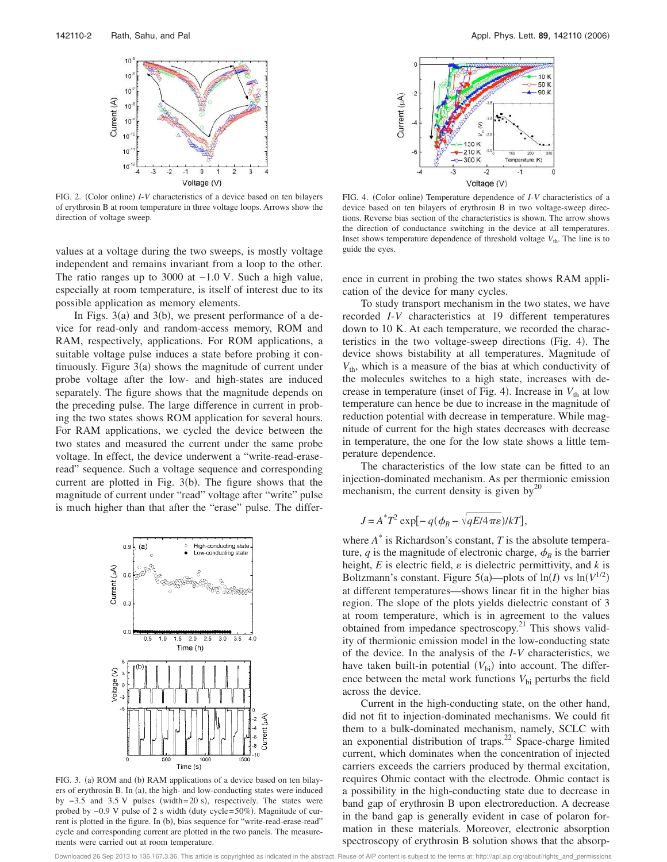

FIG. 2. (Color online) *I-V* characteristics of a device based on ten bilayers of erythrosin B at room temperature in three voltage loops. Arrows show the direction of voltage sweep.

values at a voltage during the two sweeps, is mostly voltage independent and remains invariant from a loop to the other. The ratio ranges up to 3000 at −1.0 V. Such a high value, especially at room temperature, is itself of interest due to its possible application as memory elements.

In Figs.  $3(a)$  and  $3(b)$ , we present performance of a device for read-only and random-access memory, ROM and RAM, respectively, applications. For ROM applications, a suitable voltage pulse induces a state before probing it continuously. Figure  $3(a)$  shows the magnitude of current under probe voltage after the low- and high-states are induced separately. The figure shows that the magnitude depends on the preceding pulse. The large difference in current in probing the two states shows ROM application for several hours. For RAM applications, we cycled the device between the two states and measured the current under the same probe voltage. In effect, the device underwent a "write-read-eraseread" sequence. Such a voltage sequence and corresponding current are plotted in Fig.  $3(b)$ . The figure shows that the magnitude of current under "read" voltage after "write" pulse is much higher than that after the "erase" pulse. The differ-



FIG. 3. (a) ROM and (b) RAM applications of a device based on ten bilayers of erythrosin B. In (a), the high- and low-conducting states were induced by  $-3.5$  and  $3.5$  V pulses (width= 20 s), respectively. The states were probed by -0.9 V pulse of 2 s width (duty cycle=50%). Magnitude of current is plotted in the figure. In (b), bias sequence for "write-read-erase-read" cycle and corresponding current are plotted in the two panels. The measurements were carried out at room temperature.



FIG. 4. (Color online) Temperature dependence of *I-V* characteristics of a device based on ten bilayers of erythrosin B in two voltage-sweep directions. Reverse bias section of the characteristics is shown. The arrow shows the direction of conductance switching in the device at all temperatures. Inset shows temperature dependence of threshold voltage  $V_{\text{th}}$ . The line is to guide the eyes.

ence in current in probing the two states shows RAM application of the device for many cycles.

To study transport mechanism in the two states, we have recorded *I*-*V* characteristics at 19 different temperatures down to 10 K. At each temperature, we recorded the characteristics in the two voltage-sweep directions (Fig. 4). The device shows bistability at all temperatures. Magnitude of  $V_{th}$ , which is a measure of the bias at which conductivity of the molecules switches to a high state, increases with decrease in temperature (inset of Fig. 4). Increase in  $V_{th}$  at low temperature can hence be due to increase in the magnitude of reduction potential with decrease in temperature. While magnitude of current for the high states decreases with decrease in temperature, the one for the low state shows a little temperature dependence.

The characteristics of the low state can be fitted to an injection-dominated mechanism. As per thermionic emission mechanism, the current density is given by<sup>20</sup>

$$
J = A^*T^2 \exp[-q(\phi_B - \sqrt{qE/4\pi\varepsilon})/kT],
$$

where  $A^*$  is Richardson's constant,  $T$  is the absolute temperature,  $q$  is the magnitude of electronic charge,  $\phi_B$  is the barrier height,  $E$  is electric field,  $\varepsilon$  is dielectric permittivity, and  $k$  is Boltzmann's constant. Figure 5(a)—plots of  $ln(I)$  vs  $ln(V^{1/2})$ at different temperatures—shows linear fit in the higher bias region. The slope of the plots yields dielectric constant of 3 at room temperature, which is in agreement to the values obtained from impedance spectroscopy.<sup>21</sup> This shows validity of thermionic emission model in the low-conducting state of the device. In the analysis of the *I*-*V* characteristics, we have taken built-in potential  $(V_{\text{bi}})$  into account. The difference between the metal work functions  $V_{bi}$  perturbs the field across the device.

Current in the high-conducting state, on the other hand, did not fit to injection-dominated mechanisms. We could fit them to a bulk-dominated mechanism, namely, SCLC with an exponential distribution of traps. $22$  Space-charge limited current, which dominates when the concentration of injected carriers exceeds the carriers produced by thermal excitation, requires Ohmic contact with the electrode. Ohmic contact is a possibility in the high-conducting state due to decrease in band gap of erythrosin B upon electroreduction. A decrease in the band gap is generally evident in case of polaron formation in these materials. Moreover, electronic absorption spectroscopy of erythrosin B solution shows that the absorp-

Downloaded 26 Sep 2013 to 136.167.3.36. This article is copyrighted as indicated in the abstract. Reuse of AIP content is subject to the terms at: http://apl.aip.org/about/rights\_and\_permissions